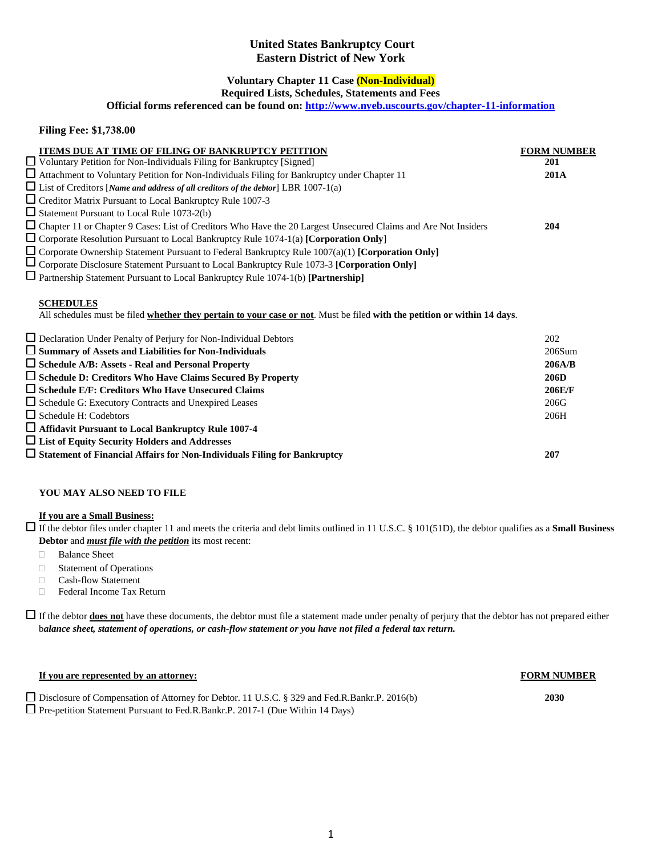# **United States Bankruptcy Court Eastern District of New York**

# **Voluntary Chapter 11 Case (Non-Individual)**

**Required Lists, Schedules, Statements and Fees**

**Official forms referenced can be found on[: http://www.nyeb.uscourts.gov/chapter-11-information](http://www.nyeb.uscourts.gov/chapter-11-information)**

## **Filing Fee: \$1,738.00**

| ITEMS DUE AT TIME OF FILING OF BANKRUPTCY PETITION                                                                                           | <b>FORM NUMBER</b> |
|----------------------------------------------------------------------------------------------------------------------------------------------|--------------------|
| □ Voluntary Petition for Non-Individuals Filing for Bankruptcy [Signed]                                                                      | 201                |
| $\Box$ Attachment to Voluntary Petition for Non-Individuals Filing for Bankruptcy under Chapter 11                                           | <b>201A</b>        |
| $\Box$ List of Creditors [Name and address of all creditors of the debtor] LBR 1007-1(a)                                                     |                    |
| $\Box$ Creditor Matrix Pursuant to Local Bankruptcy Rule 1007-3                                                                              |                    |
| $\Box$ Statement Pursuant to Local Rule 1073-2(b)                                                                                            |                    |
| □ Chapter 11 or Chapter 9 Cases: List of Creditors Who Have the 20 Largest Unsecured Claims and Are Not Insiders                             | 204                |
| $\Box$ Corporate Resolution Pursuant to Local Bankruptcy Rule 1074-1(a) [Corporation Only]                                                   |                    |
| $\Box$ Corporate Ownership Statement Pursuant to Federal Bankruptcy Rule 1007(a)(1) [Corporation Only]                                       |                    |
| Corporate Disclosure Statement Pursuant to Local Bankruptcy Rule 1073-3 [Corporation Only]                                                   |                    |
| $\Box$ Partnership Statement Pursuant to Local Bankruptcy Rule 1074-1(b) [Partnership]                                                       |                    |
| <b>SCHEDULES</b><br>All schedules must be filed whether they pertain to your case or not. Must be filed with the petition or within 14 days. |                    |
| $\Box$ Declaration Under Penalty of Perjury for Non-Individual Debtors                                                                       | 202                |
| $\square$ Summary of Assets and Liabilities for Non-Individuals                                                                              | 206Sum             |
| $\Box$ Schedule A/B: Assets - Real and Personal Property                                                                                     | 206A/B             |
| $\Box$ Schedule D: Creditors Who Have Claims Secured By Property                                                                             | 206D               |
| $\square$ Schedule E/F: Creditors Who Have Unsecured Claims                                                                                  | 206E/F             |
| $\Box$ Schedule G: Executory Contracts and Unexpired Leases                                                                                  | 206G               |
| $\Box$ Schedule H: Codebtors                                                                                                                 | 206H               |
| □ Affidavit Pursuant to Local Bankruptcy Rule 1007-4                                                                                         |                    |
| $\Box$ List of Equity Security Holders and Addresses                                                                                         |                    |
| $\Box$ Statement of Financial Affairs for Non-Individuals Filing for Bankruptcy                                                              | 207                |

### **YOU MAY ALSO NEED TO FILE**

#### **If you are a Small Business:**

If the debtor files under chapter 11 and meets the criteria and debt limits outlined in 11 U.S.C. § 101(51D), the debtor qualifies as a **Small Business Debtor** and *must file with the petition* its most recent:

- Balance Sheet
- Statement of Operations
- Cash-flow Statement
- □ Federal Income Tax Return

If the debtor **does not** have these documents, the debtor must file a statement made under penalty of perjury that the debtor has not prepared either b*alance sheet, statement of operations, or cash-flow statement or you have not filed a federal tax return.* 

### **If you are represented by an attorney: FORM NUMBER**

Disclosure of Compensation of Attorney for Debtor. 11 U.S.C. § 329 and Fed.R.Bankr.P. 2016(b) **2030** Pre-petition Statement Pursuant to Fed.R.Bankr.P. 2017-1 (Due Within 14 Days)